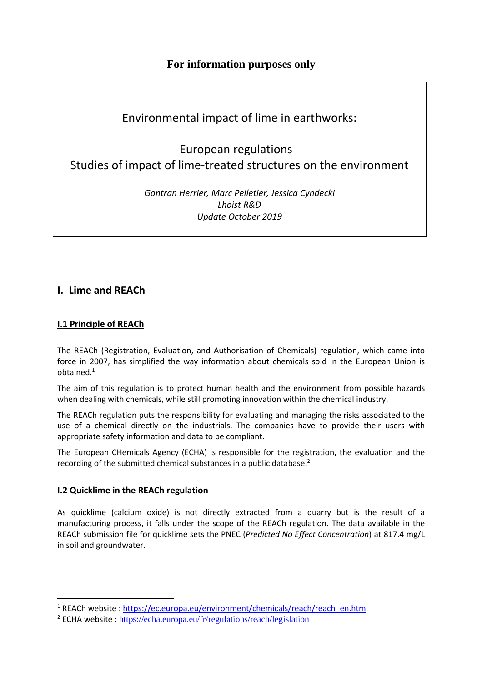# **For information purposes only**

# Environmental impact of lime in earthworks:

European regulations - Studies of impact of lime-treated structures on the environment

> *Gontran Herrier, Marc Pelletier, Jessica Cyndecki Lhoist R&D Update October 2019*

# **I. Lime and REACh**

# **I.1 Principle of REACh**

The REACh (Registration, Evaluation, and Authorisation of Chemicals) regulation, which came into force in 2007, has simplified the way information about chemicals sold in the European Union is obtained.<sup>1</sup>

The aim of this regulation is to protect human health and the environment from possible hazards when dealing with chemicals, while still promoting innovation within the chemical industry.

The REACh regulation puts the responsibility for evaluating and managing the risks associated to the use of a chemical directly on the industrials. The companies have to provide their users with appropriate safety information and data to be compliant.

The European CHemicals Agency (ECHA) is responsible for the registration, the evaluation and the recording of the submitted chemical substances in a public database.<sup>2</sup>

# **I.2 Quicklime in the REACh regulation**

As quicklime (calcium oxide) is not directly extracted from a quarry but is the result of a manufacturing process, it falls under the scope of the REACh regulation. The data available in the REACh submission file for quicklime sets the PNEC (*Predicted No Effect Concentration*) at 817.4 mg/L in soil and groundwater.

<sup>&</sup>lt;sup>1</sup> REACh website: https://ec.europa.eu/environment/chemicals/reach/reach\_en.htm

<sup>&</sup>lt;sup>2</sup> ECHA website : https://echa.europa.eu/fr/regulations/reach/legislation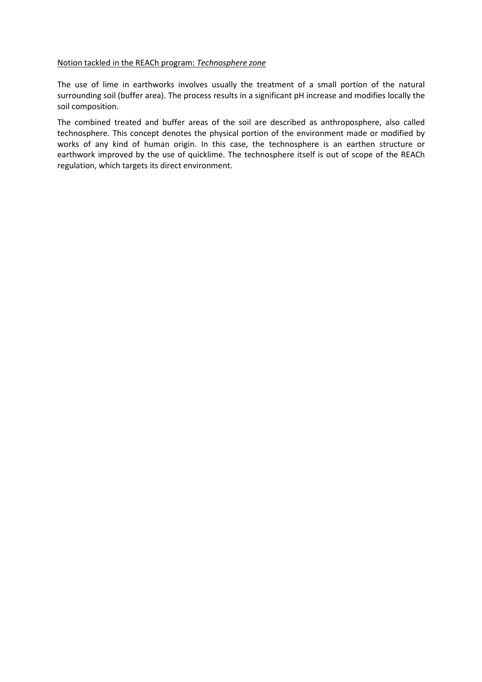#### Notion tackled in the REACh program: *Technosphere zone*

The use of lime in earthworks involves usually the treatment of a small portion of the natural surrounding soil (buffer area). The process results in a significant pH increase and modifies locally the soil composition.

The combined treated and buffer areas of the soil are described as anthroposphere, also called technosphere. This concept denotes the physical portion of the environment made or modified by works of any kind of human origin. In this case, the technosphere is an earthen structure or earthwork improved by the use of quicklime. The technosphere itself is out of scope of the REACh regulation, which targets its direct environment.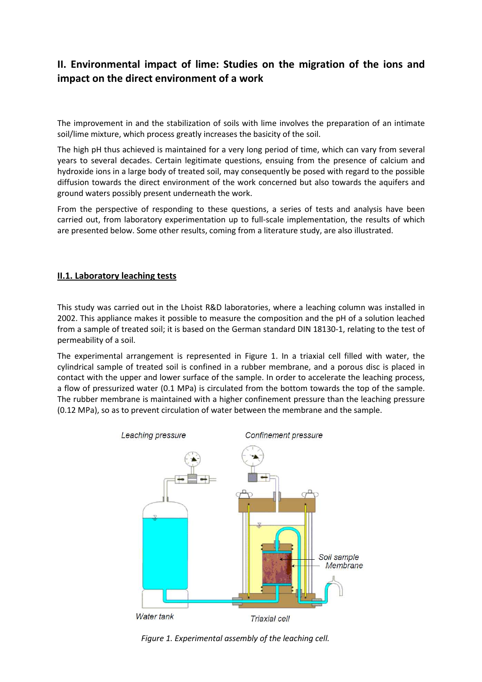# **II. Environmental impact of lime: Studies on the migration of the ions and impact on the direct environment of a work**

The improvement in and the stabilization of soils with lime involves the preparation of an intimate soil/lime mixture, which process greatly increases the basicity of the soil.

The high pH thus achieved is maintained for a very long period of time, which can vary from several years to several decades. Certain legitimate questions, ensuing from the presence of calcium and hydroxide ions in a large body of treated soil, may consequently be posed with regard to the possible diffusion towards the direct environment of the work concerned but also towards the aquifers and ground waters possibly present underneath the work.

From the perspective of responding to these questions, a series of tests and analysis have been carried out, from laboratory experimentation up to full-scale implementation, the results of which are presented below. Some other results, coming from a literature study, are also illustrated.

# **II.1. Laboratory leaching tests**

This study was carried out in the Lhoist R&D laboratories, where a leaching column was installed in 2002. This appliance makes it possible to measure the composition and the pH of a solution leached from a sample of treated soil; it is based on the German standard DIN 18130-1, relating to the test of permeability of a soil.

The experimental arrangement is represented in Figure 1. In a triaxial cell filled with water, the cylindrical sample of treated soil is confined in a rubber membrane, and a porous disc is placed in contact with the upper and lower surface of the sample. In order to accelerate the leaching process, a flow of pressurized water (0.1 MPa) is circulated from the bottom towards the top of the sample. The rubber membrane is maintained with a higher confinement pressure than the leaching pressure (0.12 MPa), so as to prevent circulation of water between the membrane and the sample.



*Figure 1. Experimental assembly of the leaching cell.*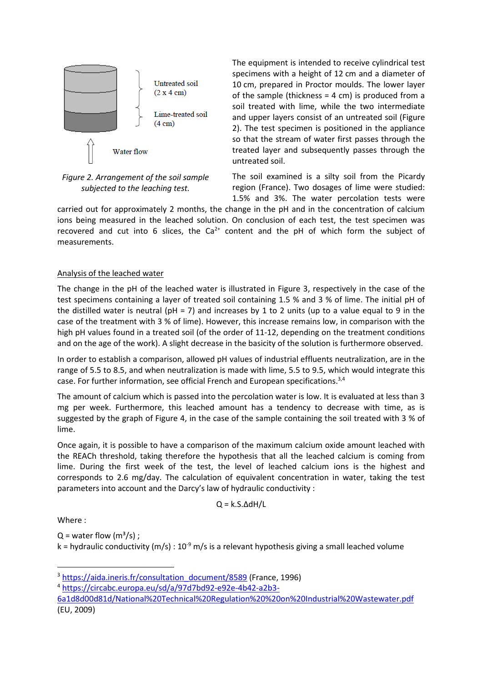

*Figure 2. Arrangement of the soil sample subjected to the leaching test.* 

The equipment is intended to receive cylindrical test specimens with a height of 12 cm and a diameter of 10 cm, prepared in Proctor moulds. The lower layer of the sample (thickness  $= 4$  cm) is produced from a soil treated with lime, while the two intermediate and upper layers consist of an untreated soil (Figure 2). The test specimen is positioned in the appliance so that the stream of water first passes through the treated layer and subsequently passes through the untreated soil.

The soil examined is a silty soil from the Picardy region (France). Two dosages of lime were studied: 1.5% and 3%. The water percolation tests were

carried out for approximately 2 months, the change in the pH and in the concentration of calcium ions being measured in the leached solution. On conclusion of each test, the test specimen was recovered and cut into 6 slices, the  $Ca^{2+}$  content and the pH of which form the subject of measurements.

# Analysis of the leached water

The change in the pH of the leached water is illustrated in Figure 3, respectively in the case of the test specimens containing a layer of treated soil containing 1.5 % and 3 % of lime. The initial pH of the distilled water is neutral ( $pH = 7$ ) and increases by 1 to 2 units (up to a value equal to 9 in the case of the treatment with 3 % of lime). However, this increase remains low, in comparison with the high pH values found in a treated soil (of the order of 11-12, depending on the treatment conditions and on the age of the work). A slight decrease in the basicity of the solution is furthermore observed.

In order to establish a comparison, allowed pH values of industrial effluents neutralization, are in the range of 5.5 to 8.5, and when neutralization is made with lime, 5.5 to 9.5, which would integrate this case. For further information, see official French and European specifications.3,4

The amount of calcium which is passed into the percolation water is low. It is evaluated at less than 3 mg per week. Furthermore, this leached amount has a tendency to decrease with time, as is suggested by the graph of Figure 4, in the case of the sample containing the soil treated with 3 % of lime.

Once again, it is possible to have a comparison of the maximum calcium oxide amount leached with the REACh threshold, taking therefore the hypothesis that all the leached calcium is coming from lime. During the first week of the test, the level of leached calcium ions is the highest and corresponds to 2.6 mg/day. The calculation of equivalent concentration in water, taking the test parameters into account and the Darcy's law of hydraulic conductivity :

$$
Q = k.S.\Delta dH/L
$$

Where :

 $Q =$  water flow  $(m^3/s)$ ;

k = hydraulic conductivity (m/s) :  $10^{-9}$  m/s is a relevant hypothesis giving a small leached volume

<sup>&</sup>lt;sup>3</sup> https://aida.ineris.fr/consultation\_document/8589 (France, 1996)

<sup>4</sup> https://circabc.europa.eu/sd/a/97d7bd92-e92e-4b42-a2b3-

<sup>6</sup>a1d8d00d81d/National%20Technical%20Regulation%20%20on%20Industrial%20Wastewater.pdf (EU, 2009)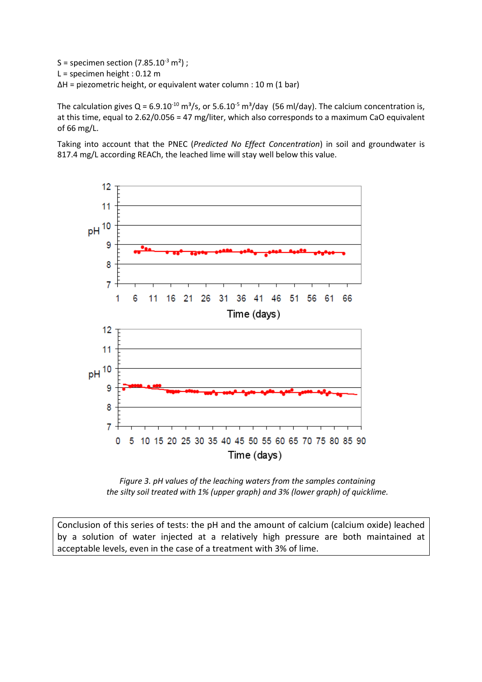S = specimen section  $(7.85.10<sup>-3</sup> m<sup>2</sup>)$ ; L = specimen height : 0.12 m ΔH = piezometric height, or equivalent water column : 10 m (1 bar)

The calculation gives  $Q = 6.9.10^{-10}$  m<sup>3</sup>/s, or 5.6.10<sup>-5</sup> m<sup>3</sup>/day (56 ml/day). The calcium concentration is, at this time, equal to 2.62/0.056 = 47 mg/liter, which also corresponds to a maximum CaO equivalent of 66 mg/L.

Taking into account that the PNEC (*Predicted No Effect Concentration*) in soil and groundwater is 817.4 mg/L according REACh, the leached lime will stay well below this value.



*Figure 3. pH values of the leaching waters from the samples containing the silty soil treated with 1% (upper graph) and 3% (lower graph) of quicklime.*

Conclusion of this series of tests: the pH and the amount of calcium (calcium oxide) leached by a solution of water injected at a relatively high pressure are both maintained at acceptable levels, even in the case of a treatment with 3% of lime.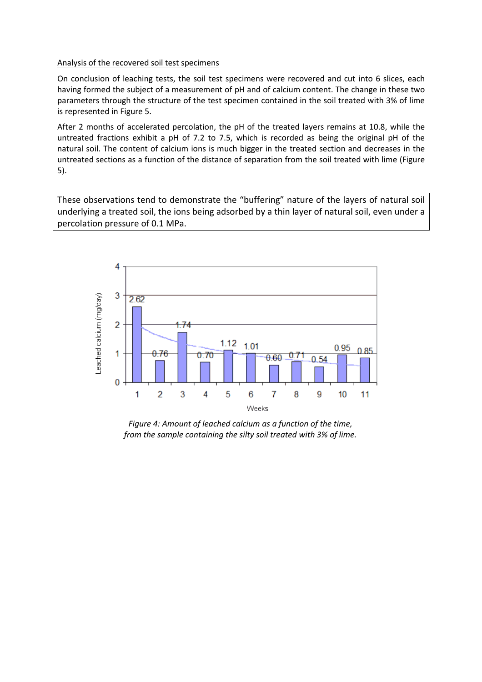#### Analysis of the recovered soil test specimens

On conclusion of leaching tests, the soil test specimens were recovered and cut into 6 slices, each having formed the subject of a measurement of pH and of calcium content. The change in these two parameters through the structure of the test specimen contained in the soil treated with 3% of lime is represented in Figure 5.

After 2 months of accelerated percolation, the pH of the treated layers remains at 10.8, while the untreated fractions exhibit a pH of 7.2 to 7.5, which is recorded as being the original pH of the natural soil. The content of calcium ions is much bigger in the treated section and decreases in the untreated sections as a function of the distance of separation from the soil treated with lime (Figure 5).

These observations tend to demonstrate the "buffering" nature of the layers of natural soil underlying a treated soil, the ions being adsorbed by a thin layer of natural soil, even under a percolation pressure of 0.1 MPa.



*Figure 4: Amount of leached calcium as a function of the time, from the sample containing the silty soil treated with 3% of lime.*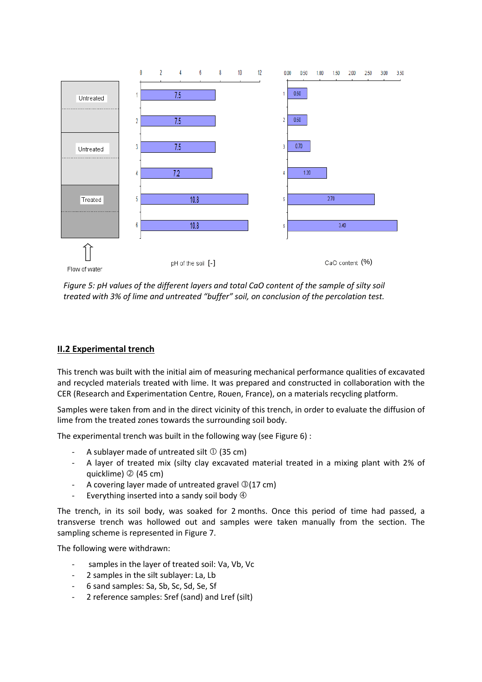

*Figure 5: pH values of the different layers and total CaO content of the sample of silty soil treated with 3% of lime and untreated "buffer" soil, on conclusion of the percolation test.*

# **II.2 Experimental trench**

This trench was built with the initial aim of measuring mechanical performance qualities of excavated and recycled materials treated with lime. It was prepared and constructed in collaboration with the CER (Research and Experimentation Centre, Rouen, France), on a materials recycling platform.

Samples were taken from and in the direct vicinity of this trench, in order to evaluate the diffusion of lime from the treated zones towards the surrounding soil body.

The experimental trench was built in the following way (see Figure 6) :

- A sublayer made of untreated silt  $\odot$  (35 cm)
- A layer of treated mix (silty clay excavated material treated in a mixing plant with 2% of quicklime) 2 (45 cm)
- A covering layer made of untreated gravel  $\mathcal{D}(17 \text{ cm})$
- Everything inserted into a sandy soil body  $\Phi$

The trench, in its soil body, was soaked for 2 months. Once this period of time had passed, a transverse trench was hollowed out and samples were taken manually from the section. The sampling scheme is represented in Figure 7.

The following were withdrawn:

- samples in the layer of treated soil: Va, Vb, Vc
- 2 samples in the silt sublayer: La, Lb
- 6 sand samples: Sa, Sb, Sc, Sd, Se, Sf
- 2 reference samples: Sref (sand) and Lref (silt)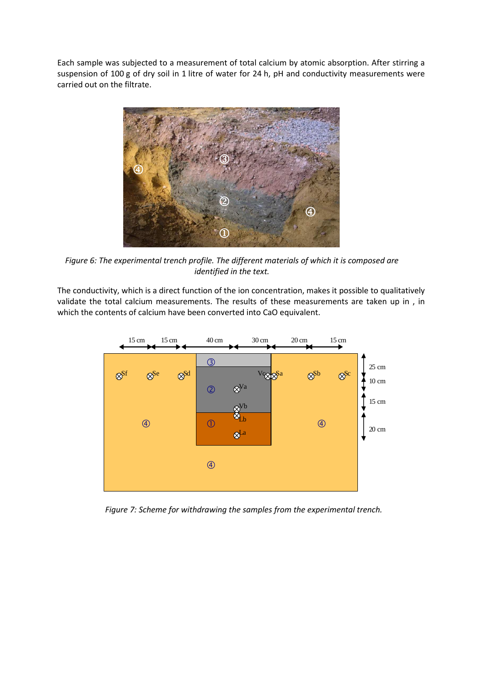Each sample was subjected to a measurement of total calcium by atomic absorption. After stirring a suspension of 100 g of dry soil in 1 litre of water for 24 h, pH and conductivity measurements were carried out on the filtrate.



*Figure 6: The experimental trench profile. The different materials of which it is composed are identified in the text.* 

The conductivity, which is a direct function of the ion concentration, makes it possible to qualitatively validate the total calcium measurements. The results of these measurements are taken up in , in which the contents of calcium have been converted into CaO equivalent.



*Figure 7: Scheme for withdrawing the samples from the experimental trench.*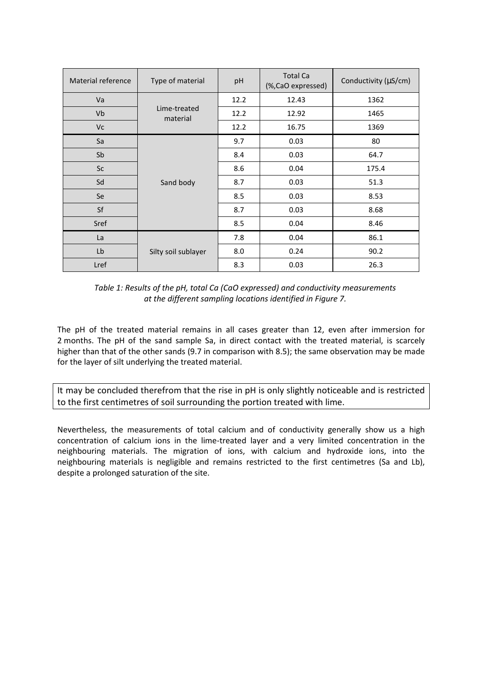| Material reference | Type of material         | pH   | <b>Total Ca</b><br>(%, CaO expressed) | Conductivity (µS/cm) |  |
|--------------------|--------------------------|------|---------------------------------------|----------------------|--|
| Va                 |                          | 12.2 | 12.43                                 | 1362                 |  |
| Vb                 | Lime-treated<br>material | 12.2 | 12.92                                 | 1465                 |  |
| <b>Vc</b>          |                          | 12.2 | 16.75                                 | 1369                 |  |
| Sa                 | Sand body                | 9.7  | 0.03                                  | 80                   |  |
| Sb                 |                          | 8.4  | 0.03                                  | 64.7                 |  |
| <b>Sc</b>          |                          | 8.6  | 0.04                                  | 175.4                |  |
| Sd                 |                          | 8.7  | 0.03                                  | 51.3                 |  |
| Se                 |                          | 8.5  | 0.03                                  | 8.53                 |  |
| Sf                 |                          | 8.7  | 0.03                                  | 8.68                 |  |
| Sref               |                          | 8.5  | 0.04                                  | 8.46                 |  |
| La                 |                          | 7.8  | 0.04                                  | 86.1                 |  |
| Lb                 | Silty soil sublayer      | 8.0  | 0.24                                  | 90.2                 |  |
| Lref               |                          | 8.3  | 0.03                                  | 26.3                 |  |

*Table 1: Results of the pH, total Ca (CaO expressed) and conductivity measurements at the different sampling locations identified in Figure 7.*

The pH of the treated material remains in all cases greater than 12, even after immersion for 2 months. The pH of the sand sample Sa, in direct contact with the treated material, is scarcely higher than that of the other sands (9.7 in comparison with 8.5); the same observation may be made for the layer of silt underlying the treated material.

It may be concluded therefrom that the rise in pH is only slightly noticeable and is restricted to the first centimetres of soil surrounding the portion treated with lime.

Nevertheless, the measurements of total calcium and of conductivity generally show us a high concentration of calcium ions in the lime-treated layer and a very limited concentration in the neighbouring materials. The migration of ions, with calcium and hydroxide ions, into the neighbouring materials is negligible and remains restricted to the first centimetres (Sa and Lb), despite a prolonged saturation of the site.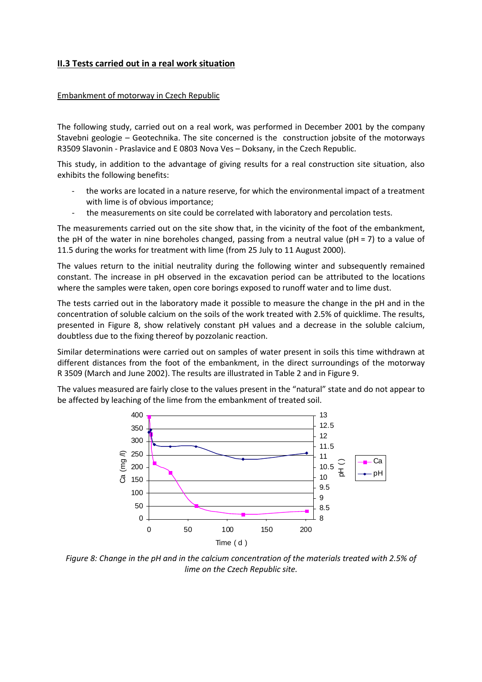# **II.3 Tests carried out in a real work situation**

#### Embankment of motorway in Czech Republic

The following study, carried out on a real work, was performed in December 2001 by the company Stavebni geologie – Geotechnika. The site concerned is the construction jobsite of the motorways R3509 Slavonin - Praslavice and E 0803 Nova Ves – Doksany, in the Czech Republic.

This study, in addition to the advantage of giving results for a real construction site situation, also exhibits the following benefits:

- the works are located in a nature reserve, for which the environmental impact of a treatment with lime is of obvious importance;
- the measurements on site could be correlated with laboratory and percolation tests.

The measurements carried out on the site show that, in the vicinity of the foot of the embankment, the pH of the water in nine boreholes changed, passing from a neutral value ( $pH = 7$ ) to a value of 11.5 during the works for treatment with lime (from 25 July to 11 August 2000).

The values return to the initial neutrality during the following winter and subsequently remained constant. The increase in pH observed in the excavation period can be attributed to the locations where the samples were taken, open core borings exposed to runoff water and to lime dust.

The tests carried out in the laboratory made it possible to measure the change in the pH and in the concentration of soluble calcium on the soils of the work treated with 2.5% of quicklime. The results, presented in Figure 8, show relatively constant pH values and a decrease in the soluble calcium, doubtless due to the fixing thereof by pozzolanic reaction.

Similar determinations were carried out on samples of water present in soils this time withdrawn at different distances from the foot of the embankment, in the direct surroundings of the motorway R 3509 (March and June 2002). The results are illustrated in Table 2 and in Figure 9.

The values measured are fairly close to the values present in the "natural" state and do not appear to be affected by leaching of the lime from the embankment of treated soil.



*Figure 8: Change in the pH and in the calcium concentration of the materials treated with 2.5% of lime on the Czech Republic site.*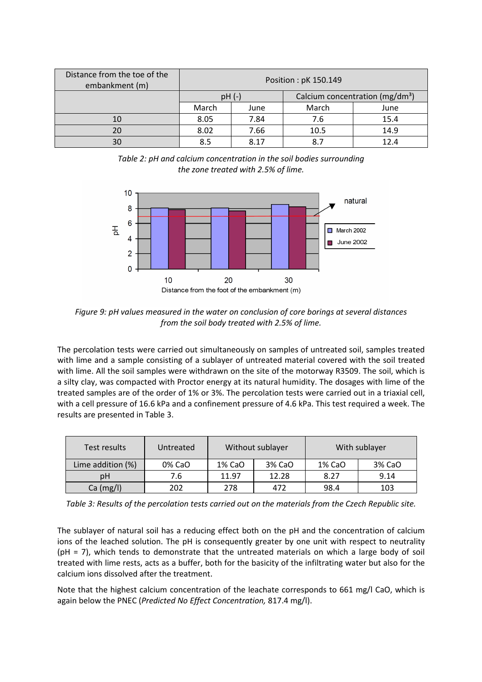| Distance from the toe of the<br>embankment (m) | Position: pK 150.149 |      |                                             |      |  |
|------------------------------------------------|----------------------|------|---------------------------------------------|------|--|
|                                                | $pH(-)$              |      | Calcium concentration (mg/dm <sup>3</sup> ) |      |  |
|                                                | March                | June | March                                       | June |  |
| 10                                             | 8.05                 | 7.84 | 7.6                                         | 15.4 |  |
| 20                                             | 8.02                 | 7.66 | 10.5                                        | 14.9 |  |
| 30                                             | 8.5                  | 8.17 | 8.7                                         | 12.4 |  |

*Table 2: pH and calcium concentration in the soil bodies surrounding the zone treated with 2.5% of lime.*



*Figure 9: pH values measured in the water on conclusion of core borings at several distances from the soil body treated with 2.5% of lime.*

The percolation tests were carried out simultaneously on samples of untreated soil, samples treated with lime and a sample consisting of a sublayer of untreated material covered with the soil treated with lime. All the soil samples were withdrawn on the site of the motorway R3509. The soil, which is a silty clay, was compacted with Proctor energy at its natural humidity. The dosages with lime of the treated samples are of the order of 1% or 3%. The percolation tests were carried out in a triaxial cell, with a cell pressure of 16.6 kPa and a confinement pressure of 4.6 kPa. This test required a week. The results are presented in Table 3.

| Test results      | Untreated | Without sublayer |        | With sublayer |        |  |
|-------------------|-----------|------------------|--------|---------------|--------|--|
| Lime addition (%) | 0% CaO    | 1% CaO           | 3% CaO | 1% CaO        | 3% CaO |  |
| pH                | 7.6       | 11.97            | 12.28  | 8.27          | 9.14   |  |
| Ca (mg/l)         | 202       | 278              | 472    | 98.4          | 103    |  |

*Table 3: Results of the percolation tests carried out on the materials from the Czech Republic site.* 

The sublayer of natural soil has a reducing effect both on the pH and the concentration of calcium ions of the leached solution. The pH is consequently greater by one unit with respect to neutrality (pH = 7), which tends to demonstrate that the untreated materials on which a large body of soil treated with lime rests, acts as a buffer, both for the basicity of the infiltrating water but also for the calcium ions dissolved after the treatment.

Note that the highest calcium concentration of the leachate corresponds to 661 mg/l CaO, which is again below the PNEC (*Predicted No Effect Concentration,* 817.4 mg/l).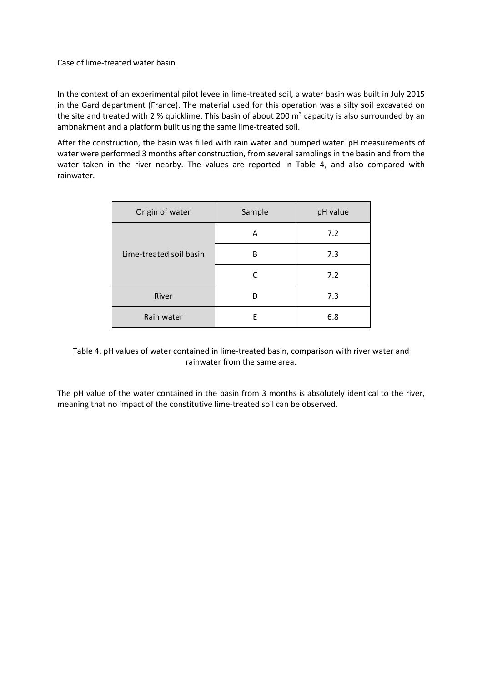#### Case of lime-treated water basin

In the context of an experimental pilot levee in lime-treated soil, a water basin was built in July 2015 in the Gard department (France). The material used for this operation was a silty soil excavated on the site and treated with 2 % quicklime. This basin of about 200  $m<sup>3</sup>$  capacity is also surrounded by an ambnakment and a platform built using the same lime-treated soil.

After the construction, the basin was filled with rain water and pumped water. pH measurements of water were performed 3 months after construction, from several samplings in the basin and from the water taken in the river nearby. The values are reported in Table 4, and also compared with rainwater.

| Origin of water         | Sample | pH value |
|-------------------------|--------|----------|
|                         | A      | 7.2      |
| Lime-treated soil basin | B      | 7.3      |
|                         | C      | 7.2      |
| River                   | D      | 7.3      |
| Rain water              | F      | 6.8      |

Table 4. pH values of water contained in lime-treated basin, comparison with river water and rainwater from the same area.

The pH value of the water contained in the basin from 3 months is absolutely identical to the river, meaning that no impact of the constitutive lime-treated soil can be observed.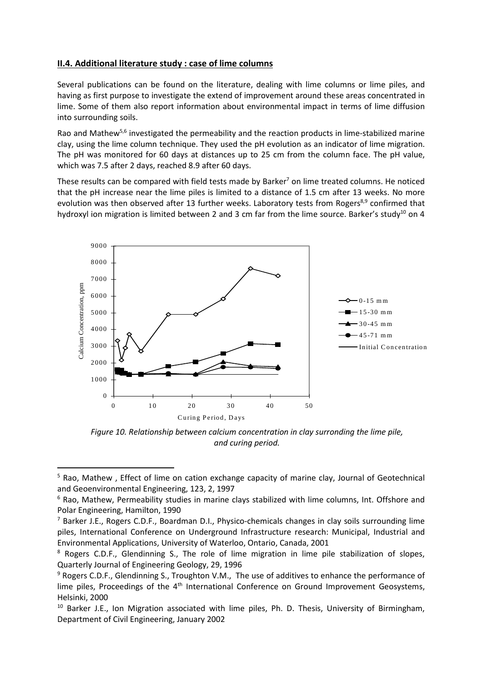# **II.4. Additional literature study : case of lime columns**

Several publications can be found on the literature, dealing with lime columns or lime piles, and having as first purpose to investigate the extend of improvement around these areas concentrated in lime. Some of them also report information about environmental impact in terms of lime diffusion into surrounding soils.

Rao and Mathew<sup>5,6</sup> investigated the permeability and the reaction products in lime-stabilized marine clay, using the lime column technique. They used the pH evolution as an indicator of lime migration. The pH was monitored for 60 days at distances up to 25 cm from the column face. The pH value, which was 7.5 after 2 days, reached 8.9 after 60 days.

These results can be compared with field tests made by Barker<sup>7</sup> on lime treated columns. He noticed that the pH increase near the lime piles is limited to a distance of 1.5 cm after 13 weeks. No more evolution was then observed after 13 further weeks. Laboratory tests from Rogers<sup>8,9</sup> confirmed that hydroxyl ion migration is limited between 2 and 3 cm far from the lime source. Barker's study<sup>10</sup> on 4



*Figure 10. Relationship between calcium concentration in clay surronding the lime pile, and curing period.* 

<sup>&</sup>lt;sup>5</sup> Rao, Mathew, Effect of lime on cation exchange capacity of marine clay, Journal of Geotechnical and Geoenvironmental Engineering, 123, 2, 1997

<sup>&</sup>lt;sup>6</sup> Rao, Mathew, Permeability studies in marine clays stabilized with lime columns, Int. Offshore and Polar Engineering, Hamilton, 1990

<sup>&</sup>lt;sup>7</sup> Barker J.E., Rogers C.D.F., Boardman D.I., Physico-chemicals changes in clay soils surrounding lime piles, International Conference on Underground Infrastructure research: Municipal, Industrial and Environmental Applications, University of Waterloo, Ontario, Canada, 2001

<sup>&</sup>lt;sup>8</sup> Rogers C.D.F., Glendinning S., The role of lime migration in lime pile stabilization of slopes, Quarterly Journal of Engineering Geology, 29, 1996

<sup>&</sup>lt;sup>9</sup> Rogers C.D.F., Glendinning S., Troughton V.M., The use of additives to enhance the performance of lime piles, Proceedings of the 4<sup>th</sup> International Conference on Ground Improvement Geosystems, Helsinki, 2000

<sup>&</sup>lt;sup>10</sup> Barker J.E., Ion Migration associated with lime piles, Ph. D. Thesis, University of Birmingham, Department of Civil Engineering, January 2002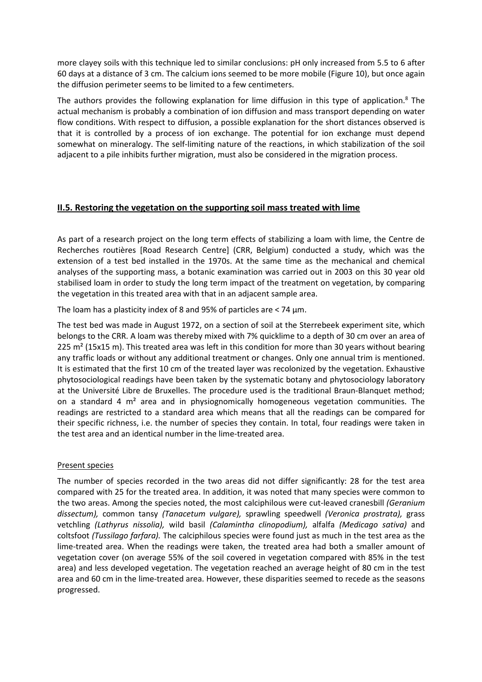more clayey soils with this technique led to similar conclusions: pH only increased from 5.5 to 6 after 60 days at a distance of 3 cm. The calcium ions seemed to be more mobile (Figure 10), but once again the diffusion perimeter seems to be limited to a few centimeters.

The authors provides the following explanation for lime diffusion in this type of application.<sup>8</sup> The actual mechanism is probably a combination of ion diffusion and mass transport depending on water flow conditions. With respect to diffusion, a possible explanation for the short distances observed is that it is controlled by a process of ion exchange. The potential for ion exchange must depend somewhat on mineralogy. The self-limiting nature of the reactions, in which stabilization of the soil adjacent to a pile inhibits further migration, must also be considered in the migration process.

# **II.5. Restoring the vegetation on the supporting soil mass treated with lime**

As part of a research project on the long term effects of stabilizing a loam with lime, the Centre de Recherches routières [Road Research Centre] (CRR, Belgium) conducted a study, which was the extension of a test bed installed in the 1970s. At the same time as the mechanical and chemical analyses of the supporting mass, a botanic examination was carried out in 2003 on this 30 year old stabilised loam in order to study the long term impact of the treatment on vegetation, by comparing the vegetation in this treated area with that in an adjacent sample area.

The loam has a plasticity index of 8 and 95% of particles are < 74 μm.

The test bed was made in August 1972, on a section of soil at the Sterrebeek experiment site, which belongs to the CRR. A loam was thereby mixed with 7% quicklime to a depth of 30 cm over an area of 225 m<sup>2</sup> (15x15 m). This treated area was left in this condition for more than 30 years without bearing any traffic loads or without any additional treatment or changes. Only one annual trim is mentioned. It is estimated that the first 10 cm of the treated layer was recolonized by the vegetation. Exhaustive phytosociological readings have been taken by the systematic botany and phytosociology laboratory at the Université Libre de Bruxelles. The procedure used is the traditional Braun-Blanquet method; on a standard 4 m² area and in physiognomically homogeneous vegetation communities. The readings are restricted to a standard area which means that all the readings can be compared for their specific richness, i.e. the number of species they contain. In total, four readings were taken in the test area and an identical number in the lime-treated area.

#### Present species

The number of species recorded in the two areas did not differ significantly: 28 for the test area compared with 25 for the treated area. In addition, it was noted that many species were common to the two areas. Among the species noted, the most calciphilous were cut-leaved cranesbill *(Geranium dissectum),* common tansy *(Tanacetum vulgare),* sprawling speedwell *(Veronica prostrata),* grass vetchling *(Lathyrus nissolia),* wild basil *(Calamintha clinopodium),* alfalfa *(Medicago sativa)* and coltsfoot *(Tussilago farfara).* The calciphilous species were found just as much in the test area as the lime-treated area. When the readings were taken, the treated area had both a smaller amount of vegetation cover (on average 55% of the soil covered in vegetation compared with 85% in the test area) and less developed vegetation. The vegetation reached an average height of 80 cm in the test area and 60 cm in the lime-treated area. However, these disparities seemed to recede as the seasons progressed.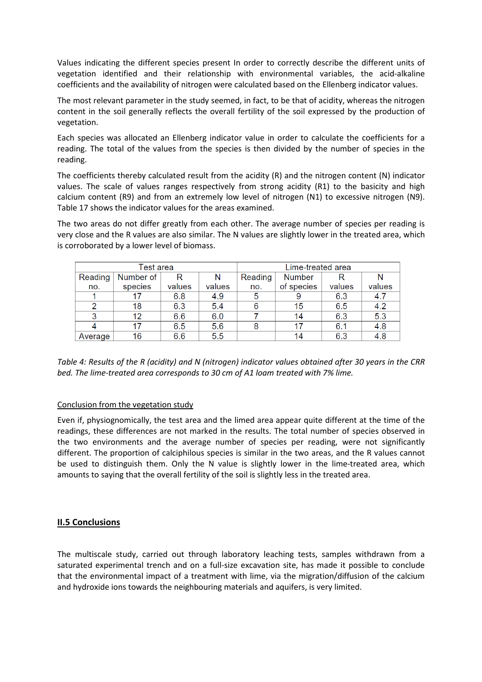Values indicating the different species present In order to correctly describe the different units of vegetation identified and their relationship with environmental variables, the acid-alkaline coefficients and the availability of nitrogen were calculated based on the Ellenberg indicator values.

The most relevant parameter in the study seemed, in fact, to be that of acidity, whereas the nitrogen content in the soil generally reflects the overall fertility of the soil expressed by the production of vegetation.

Each species was allocated an Ellenberg indicator value in order to calculate the coefficients for a reading. The total of the values from the species is then divided by the number of species in the reading.

The coefficients thereby calculated result from the acidity (R) and the nitrogen content (N) indicator values. The scale of values ranges respectively from strong acidity (R1) to the basicity and high calcium content (R9) and from an extremely low level of nitrogen (N1) to excessive nitrogen (N9). Table 17 shows the indicator values for the areas examined.

The two areas do not differ greatly from each other. The average number of species per reading is very close and the R values are also similar. The N values are slightly lower in the treated area, which is corroborated by a lower level of biomass.

| Test area |           |        | Lime-treated area |         |               |        |        |
|-----------|-----------|--------|-------------------|---------|---------------|--------|--------|
| Reading   | Number of |        |                   | Reading | <b>Number</b> |        |        |
| no.       | species   | values | values            | no.     | of species    | values | values |
|           |           | 6.8    | 4.9               | 5       |               | 6.3    | 4.7    |
| 2         | 18        | 6.3    | 5.4               | 6       | 15            | 6.5    | 4.2    |
| 3         | 12        | 6.6    | 6.0               |         | 14            | 6.3    | 5.3    |
|           | 17        | 6.5    | 5.6               |         |               | 6.1    | 4.8    |
| Average   | 16        | 6.6    | 5.5               |         | 14            | 6.3    | 4.8    |

*Table 4: Results of the R (acidity) and N (nitrogen) indicator values obtained after 30 years in the CRR bed. The lime-treated area corresponds to 30 cm of A1 loam treated with 7% lime.* 

#### Conclusion from the vegetation study

Even if, physiognomically, the test area and the limed area appear quite different at the time of the readings, these differences are not marked in the results. The total number of species observed in the two environments and the average number of species per reading, were not significantly different. The proportion of calciphilous species is similar in the two areas, and the R values cannot be used to distinguish them. Only the N value is slightly lower in the lime-treated area, which amounts to saying that the overall fertility of the soil is slightly less in the treated area.

# **II.5 Conclusions**

The multiscale study, carried out through laboratory leaching tests, samples withdrawn from a saturated experimental trench and on a full-size excavation site, has made it possible to conclude that the environmental impact of a treatment with lime, via the migration/diffusion of the calcium and hydroxide ions towards the neighbouring materials and aquifers, is very limited.